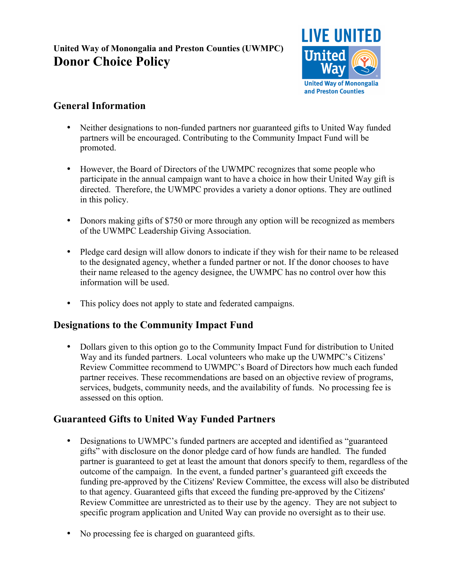# **United Way of Monongalia and Preston Counties (UWMPC) Donor Choice Policy**



## **General Information**

- Neither designations to non-funded partners nor guaranteed gifts to United Way funded partners will be encouraged. Contributing to the Community Impact Fund will be promoted.
- However, the Board of Directors of the UWMPC recognizes that some people who participate in the annual campaign want to have a choice in how their United Way gift is directed. Therefore, the UWMPC provides a variety a donor options. They are outlined in this policy.
- Donors making gifts of \$750 or more through any option will be recognized as members of the UWMPC Leadership Giving Association.
- Pledge card design will allow donors to indicate if they wish for their name to be released to the designated agency, whether a funded partner or not. If the donor chooses to have their name released to the agency designee, the UWMPC has no control over how this information will be used.
- This policy does not apply to state and federated campaigns.

## **Designations to the Community Impact Fund**

• Dollars given to this option go to the Community Impact Fund for distribution to United Way and its funded partners. Local volunteers who make up the UWMPC's Citizens' Review Committee recommend to UWMPC's Board of Directors how much each funded partner receives. These recommendations are based on an objective review of programs, services, budgets, community needs, and the availability of funds. No processing fee is assessed on this option.

## **Guaranteed Gifts to United Way Funded Partners**

- Designations to UWMPC's funded partners are accepted and identified as "guaranteed gifts" with disclosure on the donor pledge card of how funds are handled. The funded partner is guaranteed to get at least the amount that donors specify to them, regardless of the outcome of the campaign. In the event, a funded partner's guaranteed gift exceeds the funding pre-approved by the Citizens' Review Committee, the excess will also be distributed to that agency. Guaranteed gifts that exceed the funding pre-approved by the Citizens' Review Committee are unrestricted as to their use by the agency. They are not subject to specific program application and United Way can provide no oversight as to their use.
- No processing fee is charged on guaranteed gifts.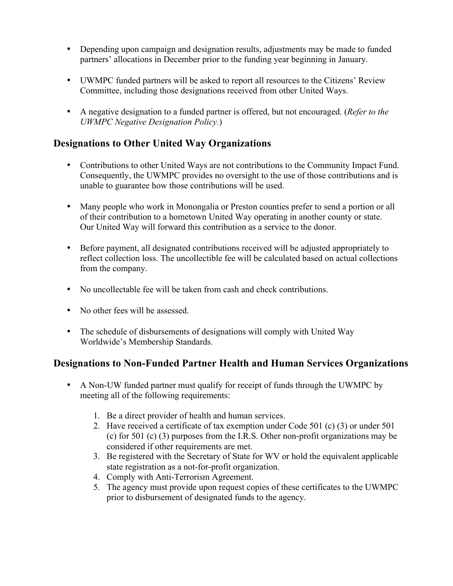- Depending upon campaign and designation results, adjustments may be made to funded partners' allocations in December prior to the funding year beginning in January.
- UWMPC funded partners will be asked to report all resources to the Citizens' Review Committee, including those designations received from other United Ways.
- A negative designation to a funded partner is offered, but not encouraged. (*Refer to the UWMPC Negative Designation Policy.*)

#### **Designations to Other United Way Organizations**

- Contributions to other United Ways are not contributions to the Community Impact Fund. Consequently, the UWMPC provides no oversight to the use of those contributions and is unable to guarantee how those contributions will be used.
- Many people who work in Monongalia or Preston counties prefer to send a portion or all of their contribution to a hometown United Way operating in another county or state. Our United Way will forward this contribution as a service to the donor.
- Before payment, all designated contributions received will be adjusted appropriately to reflect collection loss. The uncollectible fee will be calculated based on actual collections from the company.
- No uncollectable fee will be taken from cash and check contributions.
- No other fees will be assessed.
- The schedule of disbursements of designations will comply with United Way Worldwide's Membership Standards.

#### **Designations to Non-Funded Partner Health and Human Services Organizations**

- A Non-UW funded partner must qualify for receipt of funds through the UWMPC by meeting all of the following requirements:
	- 1. Be a direct provider of health and human services.
	- 2. Have received a certificate of tax exemption under Code 501 (c) (3) or under 501 (c) for 501 (c) (3) purposes from the I.R.S. Other non-profit organizations may be considered if other requirements are met.
	- 3. Be registered with the Secretary of State for WV or hold the equivalent applicable state registration as a not-for-profit organization.
	- 4. Comply with Anti-Terrorism Agreement.
	- 5. The agency must provide upon request copies of these certificates to the UWMPC prior to disbursement of designated funds to the agency.